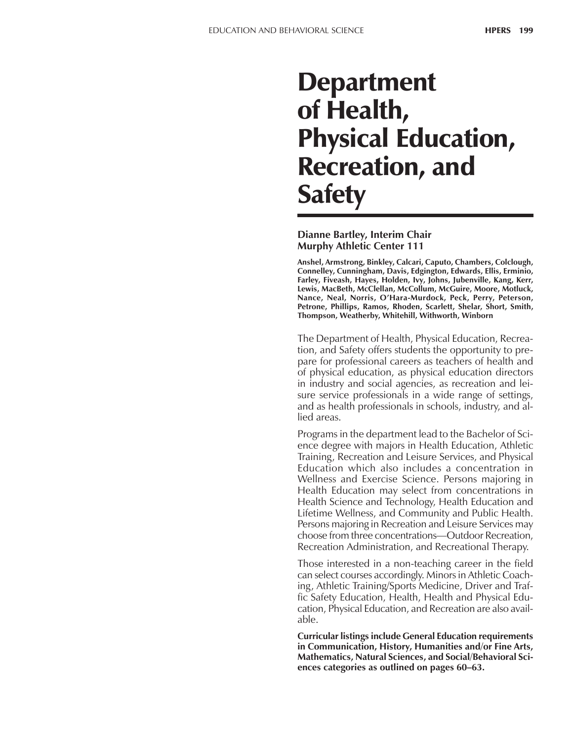# **Department** of Health, Physical Education, Recreation, and **Safety**

#### **Dianne Bartley, Interim Chair Murphy Athletic Center 111**

**Anshel, Armstrong, Binkley, Calcari, Caputo, Chambers, Colclough, Connelley, Cunningham, Davis, Edgington, Edwards, Ellis, Erminio, Farley, Fiveash, Hayes, Holden, Ivy, Johns, Jubenville, Kang, Kerr, Lewis, MacBeth, McClellan, McCollum, McGuire, Moore, Motluck, Nance, Neal, Norris, OíHara-Murdock, Peck, Perry, Peterson, Petrone, Phillips, Ramos, Rhoden, Scarlett, Shelar, Short, Smith, Thompson, Weatherby, Whitehill, Withworth, Winborn**

The Department of Health, Physical Education, Recreation, and Safety offers students the opportunity to prepare for professional careers as teachers of health and of physical education, as physical education directors in industry and social agencies, as recreation and leisure service professionals in a wide range of settings, and as health professionals in schools, industry, and allied areas.

Programs in the department lead to the Bachelor of Science degree with majors in Health Education, Athletic Training, Recreation and Leisure Services, and Physical Education which also includes a concentration in Wellness and Exercise Science. Persons majoring in Health Education may select from concentrations in Health Science and Technology, Health Education and Lifetime Wellness, and Community and Public Health. Persons majoring in Recreation and Leisure Services may choose from three concentrations—Outdoor Recreation, Recreation Administration, and Recreational Therapy.

Those interested in a non-teaching career in the field can select courses accordingly. Minors in Athletic Coaching, Athletic Training/Sports Medicine, Driver and Traffic Safety Education, Health, Health and Physical Education, Physical Education, and Recreation are also available.

**Curricular listings include General Education requirements in Communication, History, Humanities and/or Fine Arts, Mathematics, Natural Sciences, and Social/Behavioral Sci**ences categories as outlined on pages 60–63.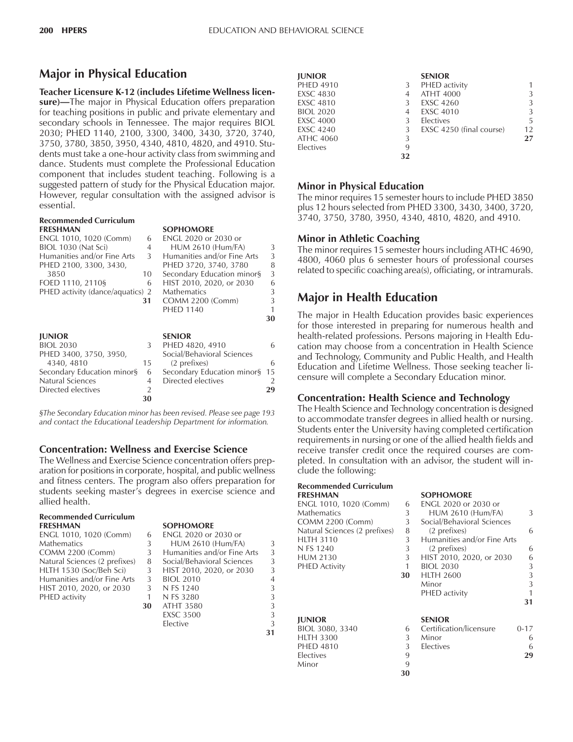## **Major in Physical Education**

**Teacher Licensure K-12 (includes Lifetime Wellness licen**sure)–The major in Physical Education offers preparation for teaching positions in public and private elementary and secondary schools in Tennessee. The major requires BIOL 2030; PHED 1140, 2100, 3300, 3400, 3430, 3720, 3740, 3750, 3780, 3850, 3950, 4340, 4810, 4820, and 4910. Students must take a one-hour activity class from swimming and dance. Students must complete the Professional Education component that includes student teaching. Following is a suggested pattern of study for the Physical Education major. However, regular consultation with the assigned advisor is essential.

| 6                               |                                       |                                                                                                                                                                              |
|---------------------------------|---------------------------------------|------------------------------------------------------------------------------------------------------------------------------------------------------------------------------|
| 4                               | <b>HUM 2610 (Hum/FA)</b>              | 3                                                                                                                                                                            |
| 3                               | Humanities and/or Fine Arts           | 3                                                                                                                                                                            |
|                                 | PHED 3720, 3740, 3780                 | 8                                                                                                                                                                            |
| 10                              |                                       | 3                                                                                                                                                                            |
| 6                               | HIST 2010, 2020, or 2030              | 6                                                                                                                                                                            |
|                                 | <b>Mathematics</b>                    | 3                                                                                                                                                                            |
| 31                              |                                       | 3                                                                                                                                                                            |
|                                 | <b>PHED 1140</b>                      |                                                                                                                                                                              |
|                                 |                                       | 30                                                                                                                                                                           |
|                                 |                                       |                                                                                                                                                                              |
|                                 | <b>SENIOR</b>                         |                                                                                                                                                                              |
| 3                               | PHED 4820, 4910                       | 6                                                                                                                                                                            |
|                                 | Social/Behavioral Sciences            |                                                                                                                                                                              |
| 15                              |                                       | 6                                                                                                                                                                            |
| Secondary Education minor§<br>6 |                                       | 15                                                                                                                                                                           |
|                                 |                                       | 2                                                                                                                                                                            |
| $\overline{2}$                  |                                       | 29                                                                                                                                                                           |
|                                 | PHED activity (dance/aquatics) 2<br>4 | <b>SOPHOMORE</b><br><b>ENGL 2020 or 2030 or</b><br>Secondary Education minor§<br><b>COMM 2200 (Comm)</b><br>(2 prefixes)<br>Secondary Education minor§<br>Directed electives |

*ßThe Secondary Education minor has been revised. Please see page 193 and contact the Educational Leadership Department for information.*

#### **Concentration: Wellness and Exercise Science**

**30**

The Wellness and Exercise Science concentration offers preparation for positions in corporate, hospital, and public wellness and fitness centers. The program also offers preparation for students seeking master's degrees in exercise science and allied health.

| <b>Recommended Curriculum</b> |    |                             |                |
|-------------------------------|----|-----------------------------|----------------|
| <b>FRESHMAN</b>               |    | <b>SOPHOMORE</b>            |                |
| ENGL 1010, 1020 (Comm)        | 6  | ENGL 2020 or 2030 or        |                |
| <b>Mathematics</b>            | 3  | <b>HUM 2610 (Hum/FA)</b>    | 3              |
| COMM 2200 (Comm)              | 3  | Humanities and/or Fine Arts | 3              |
| Natural Sciences (2 prefixes) | 8  | Social/Behavioral Sciences  | 3              |
| HLTH 1530 (Soc/Beh Sci)       | 3  | HIST 2010, 2020, or 2030    | 3              |
| Humanities and/or Fine Arts   | 3  | <b>BIOL 2010</b>            | $\overline{4}$ |
| HIST 2010, 2020, or 2030      | 3  | N FS 1240                   | 3              |
| PHED activity                 |    | N FS 3280                   | 3              |
|                               | 30 | <b>ATHT 3580</b>            | 3              |
|                               |    | <b>EXSC 3500</b>            | 3              |
|                               |    | Elective                    | 3              |

| <b>IUNIOR</b>    |    | <b>SENIOR</b>            |                   |
|------------------|----|--------------------------|-------------------|
| <b>PHED 4910</b> | 3  | PHED activity            |                   |
| <b>EXSC 4830</b> | 4  | <b>ATHT 4000</b>         | 3                 |
| EXSC 4810        | 3  | <b>EXSC 4260</b>         | 3                 |
| <b>BIOL 2020</b> | 4  | <b>EXSC 4010</b>         | 3                 |
| <b>EXSC 4000</b> | 3  | Electives                | 5                 |
| EXSC 4240        | 3  | EXSC 4250 (final course) | $12 \overline{ }$ |
| ATHC 4060        | 3  |                          | 27                |
| Electives        | 9  |                          |                   |
|                  | 32 |                          |                   |

#### **Minor in Physical Education**

The minor requires 15 semester hours to include PHED 3850 plus 12 hours selected from PHED 3300, 3430, 3400, 3720, 3740, 3750, 3780, 3950, 4340, 4810, 4820, and 4910.

#### **Minor in Athletic Coaching**

The minor requires 15 semester hours including ATHC 4690, 4800, 4060 plus 6 semester hours of professional courses related to specific coaching area(s), officiating, or intramurals.

## **Major in Health Education**

The major in Health Education provides basic experiences for those interested in preparing for numerous health and health-related professions. Persons majoring in Health Education may choose from a concentration in Health Science and Technology, Community and Public Health, and Health Education and Lifetime Wellness. Those seeking teacher licensure will complete a Secondary Education minor.

#### **Concentration: Health Science and Technology**

The Health Science and Technology concentration is designed to accommodate transfer degrees in allied health or nursing. Students enter the University having completed certification requirements in nursing or one of the allied health fields and receive transfer credit once the required courses are completed. In consultation with an advisor, the student will include the following:

**FRESHMAN SOPHOMORE**

## **Recommended Curriculum**

**31**

| ENGL 1010, 1020 (Comm)        | 6  | ENGL 2020 or 2030 or        |          |
|-------------------------------|----|-----------------------------|----------|
| Mathematics                   | 3  | <b>HUM 2610 (Hum/FA)</b>    | 3        |
| COMM 2200 (Comm)              | 3  | Social/Behavioral Sciences  |          |
| Natural Sciences (2 prefixes) | 8  | (2 prefixes)                | 6        |
| HLTH 3110                     | 3  | Humanities and/or Fine Arts |          |
| N FS 1240                     | 3  | (2 prefixes)                | 6        |
| HUM 2130                      | 3  | HIST 2010, 2020, or 2030    | 6        |
| PHED Activity                 | 1  | <b>BIOL 2030</b>            | 3        |
|                               | 30 | <b>HLTH 2600</b>            | 3        |
|                               |    | Minor                       | 3        |
|                               |    | PHED activity               | 1        |
|                               |    |                             | 31       |
| <b>JUNIOR</b>                 |    | <b>SENIOR</b>               |          |
| BIOL 3080, 3340               | 6  | Certification/licensure     | $0 - 17$ |
| <b>HLTH 3300</b>              | 3  | Minor                       | 6        |
| <b>PHED 4810</b>              | 3  | Electives                   | 6        |
| Electives                     | 9  |                             | 29       |
| Minor                         | 9  |                             |          |
|                               | 30 |                             |          |
|                               |    |                             |          |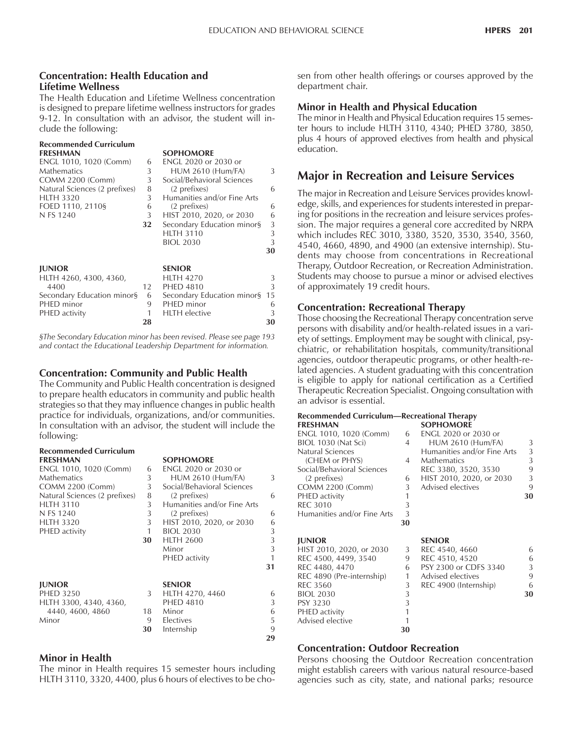#### **Concentration: Health Education and Lifetime Wellness**

The Health Education and Lifetime Wellness concentration is designed to prepare lifetime wellness instructors for grades 9-12. In consultation with an advisor, the student will include the following:

| <b>Recommended Curriculum</b> |    |                             |    |
|-------------------------------|----|-----------------------------|----|
| <b>FRESHMAN</b>               |    | <b>SOPHOMORE</b>            |    |
| ENGL 1010, 1020 (Comm)        | 6  | <b>ENGL 2020 or 2030 or</b> |    |
| <b>Mathematics</b>            | 3  | <b>HUM 2610 (Hum/FA)</b>    | 3  |
| <b>COMM 2200 (Comm)</b>       | 3  | Social/Behavioral Sciences  |    |
| Natural Sciences (2 prefixes) | 8  | (2 prefixes)                | 6  |
| <b>HLTH 3320</b>              | 3  | Humanities and/or Fine Arts |    |
| FOED 1110, 2110§              | 6  | (2 prefixes)                | 6  |
| N FS 1240                     | 3  | HIST 2010, 2020, or 2030    | 6  |
|                               | 32 | Secondary Education minor§  | 3  |
|                               |    | <b>HLTH 3110</b>            | 3  |
|                               |    | <b>BIOL 2030</b>            | 3  |
|                               |    |                             | 30 |
| <b>JUNIOR</b>                 |    | <b>SENIOR</b>               |    |
| HLTH 4260, 4300, 4360,        |    | <b>HLTH 4270</b>            | 3  |
| 4400                          | 12 | <b>PHED 4810</b>            | 3  |
| Secondary Education minor§    | 6  | Secondary Education minor§  | 15 |
| PHED minor                    | 9  | PHED minor                  | 6  |
| PHED activity                 | 1  | <b>HLTH</b> elective        | 3  |
|                               | 28 |                             | 30 |

*ßThe Secondary Education minor has been revised. Please see page 193 and contact the Educational Leadership Department for information.*

#### **Concentration: Community and Public Health**

The Community and Public Health concentration is designed to prepare health educators in community and public health strategies so that they may influence changes in public health practice for individuals, organizations, and/or communities. In consultation with an advisor, the student will include the following:

| <b>Recommended Curriculum</b><br><b>FRESHMAN</b> |              | <b>SOPHOMORE</b>            |    |
|--------------------------------------------------|--------------|-----------------------------|----|
| ENGL 1010, 1020 (Comm)                           | 6            | ENGL 2020 or 2030 or        |    |
| <b>Mathematics</b>                               | 3            | <b>HUM 2610 (Hum/FA)</b>    | 3  |
| COMM 2200 (Comm)                                 | 3            | Social/Behavioral Sciences  |    |
| Natural Sciences (2 prefixes)                    | 8            | (2 prefixes)                | 6  |
| <b>HLTH 3110</b>                                 | 3            | Humanities and/or Fine Arts |    |
| N FS 1240                                        | 3            | (2 prefixes)                | 6  |
| <b>HLTH 3320</b>                                 | 3            | HIST 2010, 2020, or 2030    | 6  |
| PHED activity                                    | $\mathbf{1}$ | <b>BIOL 2030</b>            | 3  |
|                                                  | 30           | <b>HLTH 2600</b>            | 3  |
|                                                  |              | Minor                       | 3  |
|                                                  |              | PHED activity               | 1  |
|                                                  |              |                             | 31 |
| <b>JUNIOR</b>                                    |              | <b>SENIOR</b>               |    |
| <b>PHED 3250</b>                                 | 3            | HLTH 4270, 4460             | 6  |
| HLTH 3300, 4340, 4360,                           |              | <b>PHED 4810</b>            | 3  |
| 4440, 4600, 4860                                 | 18           | Minor                       | 6  |
| Minor                                            | 9            | Electives                   | 5  |
|                                                  | 30           | Internship                  | 9  |
|                                                  |              |                             | 29 |

#### **Minor in Health**

The minor in Health requires 15 semester hours including HLTH 3110, 3320, 4400, plus 6 hours of electives to be chosen from other health offerings or courses approved by the department chair.

#### **Minor in Health and Physical Education**

The minor in Health and Physical Education requires 15 semester hours to include HLTH 3110, 4340; PHED 3780, 3850, plus 4 hours of approved electives from health and physical education.

## **Major in Recreation and Leisure Services**

The major in Recreation and Leisure Services provides knowledge, skills, and experiences for students interested in preparing for positions in the recreation and leisure services profession. The major requires a general core accredited by NRPA which includes REC 3010, 3380, 3520, 3530, 3540, 3560, 4540, 4660, 4890, and 4900 (an extensive internship). Students may choose from concentrations in Recreational Therapy, Outdoor Recreation, or Recreation Administration. Students may choose to pursue a minor or advised electives of approximately 19 credit hours.

#### **Concentration: Recreational Therapy**

Those choosing the Recreational Therapy concentration serve persons with disability and/or health-related issues in a variety of settings. Employment may be sought with clinical, psychiatric, or rehabilitation hospitals, community/transitional agencies, outdoor therapeutic programs, or other health-related agencies. A student graduating with this concentration is eligible to apply for national certification as a Certified Therapeutic Recreation Specialist. Ongoing consultation with an advisor is essential.

| <b>Recommended Curriculum—Recreational Therapy</b><br><b>FRESHMAN</b> |              | <b>SOPHOMORE</b>            |    |
|-----------------------------------------------------------------------|--------------|-----------------------------|----|
| ENGL 1010, 1020 (Comm)                                                | 6            | ENGL 2020 or 2030 or        |    |
| BIOL 1030 (Nat Sci)                                                   | 4            | <b>HUM 2610 (Hum/FA)</b>    | 3  |
| Natural Sciences                                                      |              | Humanities and/or Fine Arts | 3  |
| (CHEM or PHYS)                                                        | 4            | <b>Mathematics</b>          | 3  |
| Social/Behavioral Sciences                                            |              | REC 3380, 3520, 3530        | 9  |
| (2 prefixes)                                                          | 6            | HIST 2010, 2020, or 2030    | 3  |
| <b>COMM 2200 (Comm)</b>                                               | $\mathbf{3}$ | Advised electives           | 9  |
| PHED activity                                                         | 1            |                             | 30 |
| <b>REC 3010</b>                                                       | 3            |                             |    |
| Humanities and/or Fine Arts                                           | 3            |                             |    |
|                                                                       | 30           |                             |    |
| <b>JUNIOR</b>                                                         |              | <b>SENIOR</b>               |    |
| HIST 2010, 2020, or 2030                                              | 3            | REC 4540, 4660              | 6  |
| REC 4500, 4499, 3540                                                  | 9            | REC 4510, 4520              | 6  |
| REC 4480, 4470                                                        | 6            | PSY 2300 or CDFS 3340       | 3  |
| REC 4890 (Pre-internship)                                             | 1            | Advised electives           | 9  |
| <b>REC 3560</b>                                                       | 3            | REC 4900 (Internship)       | 6  |
| <b>BIOL 2030</b>                                                      | 3            |                             | 30 |
| PSY 3230                                                              | 3            |                             |    |

#### **Concentration: Outdoor Recreation**

PHED activity 1 Advised elective 1

Persons choosing the Outdoor Recreation concentration might establish careers with various natural resource-based agencies such as city, state, and national parks; resource

**30**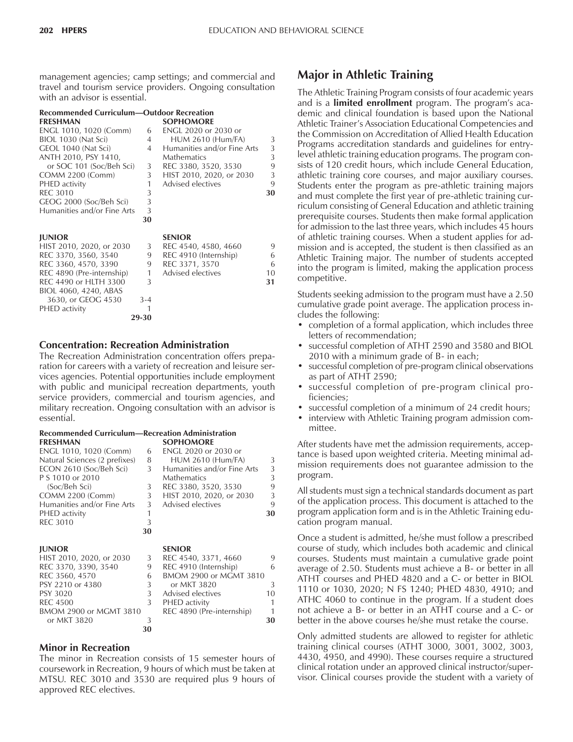management agencies; camp settings; and commercial and travel and tourism service providers. Ongoing consultation with an advisor is essential.

|                   | <b>Recommended Curriculum-Outdoor Recreation</b> |  |
|-------------------|--------------------------------------------------|--|
| <b>FRECISIANI</b> |                                                  |  |

| <b>FRESHMAN</b>                                   |          | <b>SOPHOMORE</b>                    |    |
|---------------------------------------------------|----------|-------------------------------------|----|
| ENGL 1010, 1020 (Comm)                            | 6        | <b>ENGL 2020 or 2030 or</b>         |    |
| BIOL 1030 (Nat Sci)                               | 4        | <b>HUM 2610 (Hum/FA)</b>            | 3  |
| GEOL 1040 (Nat Sci)                               | 4        | Humanities and/or Fine Arts         | 3  |
| ANTH 2010, PSY 1410,                              |          | <b>Mathematics</b>                  | 3  |
| or SOC 101 (Soc/Beh Sci)                          | 3        | REC 3380, 3520, 3530                | 9  |
| <b>COMM 2200 (Comm)</b>                           | 3        | HIST 2010, 2020, or 2030            | 3  |
| PHED activity                                     | 1        | Advised electives                   | 9  |
| <b>REC 3010</b>                                   | 3        |                                     | 30 |
| GEOG 2000 (Soc/Beh Sci)                           | 3        |                                     |    |
| Humanities and/or Fine Arts                       | 3        |                                     |    |
|                                                   | 30       |                                     |    |
|                                                   |          | <b>SENIOR</b>                       |    |
| <b>JUNIOR</b>                                     |          |                                     | 9  |
| HIST 2010, 2020, or 2030                          | 3<br>9   | REC 4540, 4580, 4660                | 6  |
| REC 3370, 3560, 3540                              |          | REC 4910 (Internship)               | 6  |
| REC 3360, 4570, 3390<br>REC 4890 (Pre-internship) | 9<br>1   | REC 3371, 3570<br>Advised electives | 10 |
| REC 4490 or HLTH 3300                             | 3        |                                     | 31 |
|                                                   |          |                                     |    |
| BIOL 4060, 4240, ABAS<br>3630, or GEOG 4530       |          |                                     |    |
|                                                   | 3-4<br>1 |                                     |    |
| PHED activity                                     | 29-30    |                                     |    |
|                                                   |          |                                     |    |

#### **Concentration: Recreation Administration**

The Recreation Administration concentration offers preparation for careers with a variety of recreation and leisure services agencies. Potential opportunities include employment with public and municipal recreation departments, youth service providers, commercial and tourism agencies, and military recreation. Ongoing consultation with an advisor is essential.

#### **Recommended Curriculum—Recreation Administration**<br>**EDESHMAN FRESHMAN SOPHOMORE**

| I INLJI IIVIAI V              |    | JULIU/MUNL                  |    |
|-------------------------------|----|-----------------------------|----|
| ENGL 1010, 1020 (Comm)        | 6  | ENGL 2020 or 2030 or        |    |
| Natural Sciences (2 prefixes) | 8  | <b>HUM 2610 (Hum/FA)</b>    | 3  |
| ECON 2610 (Soc/Beh Sci)       | 3  | Humanities and/or Fine Arts | 3  |
| P S 1010 or 2010              |    | <b>Mathematics</b>          | 3  |
| (Soc/Beh Sci)                 | 3  | REC 3380, 3520, 3530        | 9  |
| <b>COMM 2200 (Comm)</b>       | 3  | HIST 2010, 2020, or 2030    | 3  |
| Humanities and/or Fine Arts   | 3  | Advised electives           | 9  |
| PHED activity                 |    |                             | 30 |
| <b>REC 3010</b>               | 3  |                             |    |
|                               | 30 |                             |    |
| <b>JUNIOR</b>                 |    | <b>SENIOR</b>               |    |
| HIST 2010, 2020, or 2030      | 3  | REC 4540, 3371, 4660        | 9  |
| REC 3370, 3390, 3540          | 9  | REC 4910 (Internship)       | 6  |
| REC 3560, 4570                | 6  | BMOM 2900 or MGMT 3810      |    |
| PSY 2210 or 4380              | 3  | or MKT 3820                 | 3  |
| PSY 3020                      | 3  | Advised electives           | 10 |
| <b>REC 4500</b>               | 3  | PHED activity               | 1  |
| BMOM 2900 or MGMT 3810        |    | REC 4890 (Pre-internship)   | 1  |
|                               |    |                             |    |

#### **Minor in Recreation**

The minor in Recreation consists of 15 semester hours of coursework in Recreation, 9 hours of which must be taken at MTSU. REC 3010 and 3530 are required plus 9 hours of approved REC electives.

or MKT 3820 3 **30 30**

## **Major in Athletic Training**

The Athletic Training Program consists of four academic years and is a **limited enrollment** program. The programís academic and clinical foundation is based upon the National Athletic Trainer's Association Educational Competencies and the Commission on Accreditation of Allied Health Education Programs accreditation standards and guidelines for entrylevel athletic training education programs. The program consists of 120 credit hours, which include General Education, athletic training core courses, and major auxiliary courses. Students enter the program as pre-athletic training majors and must complete the first year of pre-athletic training curriculum consisting of General Education and athletic training prerequisite courses. Students then make formal application for admission to the last three years, which includes 45 hours of athletic training courses. When a student applies for admission and is accepted, the student is then classified as an Athletic Training major. The number of students accepted into the program is limited, making the application process competitive.

Students seeking admission to the program must have a 2.50 cumulative grade point average. The application process includes the following:

- completion of a formal application, which includes three letters of recommendation;
- successful completion of ATHT 2590 and 3580 and BIOL 2010 with a minimum grade of B- in each;
- successful completion of pre-program clinical observations as part of ATHT 2590;
- successful completion of pre-program clinical proficiencies;
- successful completion of a minimum of 24 credit hours;
- interview with Athletic Training program admission committee.

After students have met the admission requirements, acceptance is based upon weighted criteria. Meeting minimal admission requirements does not guarantee admission to the program.

All students must sign a technical standards document as part of the application process. This document is attached to the program application form and is in the Athletic Training education program manual.

Once a student is admitted, he/she must follow a prescribed course of study, which includes both academic and clinical courses. Students must maintain a cumulative grade point average of 2.50. Students must achieve a B- or better in all ATHT courses and PHED 4820 and a C- or better in BIOL 1110 or 1030, 2020; N FS 1240; PHED 4830, 4910; and ATHC 4060 to continue in the program. If a student does not achieve a B- or better in an ATHT course and a C- or better in the above courses he/she must retake the course.

Only admitted students are allowed to register for athletic training clinical courses (ATHT 3000, 3001, 3002, 3003, 4430, 4950, and 4990). These courses require a structured clinical rotation under an approved clinical instructor/supervisor. Clinical courses provide the student with a variety of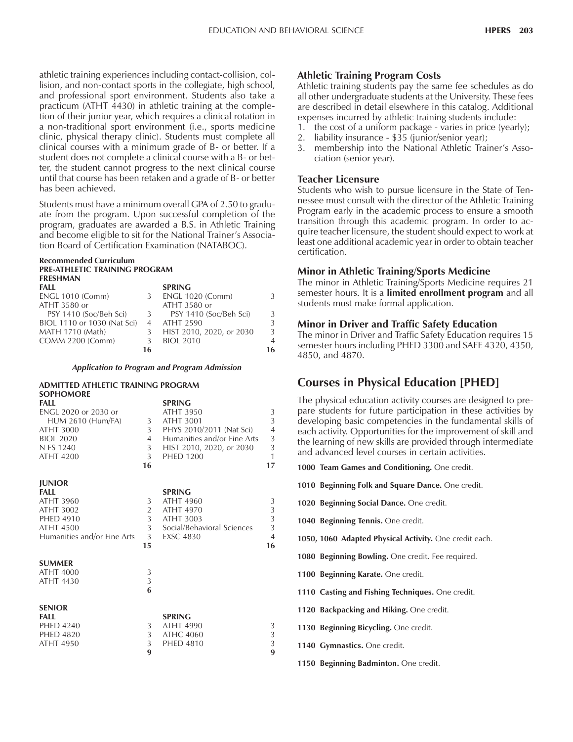athletic training experiences including contact-collision, collision, and non-contact sports in the collegiate, high school, and professional sport environment. Students also take a practicum (ATHT 4430) in athletic training at the completion of their junior year, which requires a clinical rotation in a non-traditional sport environment (i.e., sports medicine clinic, physical therapy clinic). Students must complete all clinical courses with a minimum grade of B- or better. If a student does not complete a clinical course with a B- or better, the student cannot progress to the next clinical course until that course has been retaken and a grade of B- or better has been achieved.

Students must have a minimum overall GPA of 2.50 to graduate from the program. Upon successful completion of the program, graduates are awarded a B.S. in Athletic Training and become eligible to sit for the National Trainer's Association Board of Certification Examination (NATABOC).

#### **Recommended Curriculum PRE-ATHLETIC TRAINING PROGRAM FRESHMAN**

| FALL                        |    | <b>SPRING</b>            |                |
|-----------------------------|----|--------------------------|----------------|
| <b>ENGL 1010 (Comm)</b>     |    | <b>ENGL 1020 (Comm)</b>  | 3              |
| ATHT 3580 or                |    | ATHT 3580 or             |                |
| PSY 1410 (Soc/Beh Sci)      | 3  | PSY 1410 (Soc/Beh Sci)   | 3              |
| BIOL 1110 or 1030 (Nat Sci) |    | ATHT 2590                | $\mathcal{R}$  |
| MATH 1710 (Math)            |    | HIST 2010, 2020, or 2030 | 3              |
| COMM 2200 (Comm)            |    | <b>BIOL 2010</b>         | $\overline{4}$ |
|                             | 16 |                          | 16             |

*Application to Program and Program Admission*

#### **ADMITTED ATHLETIC TRAINING PROGRAM SOPHOMORE**

| SOPHOMORE                   |                |                             |                |
|-----------------------------|----------------|-----------------------------|----------------|
| FALL                        |                | <b>SPRING</b>               |                |
| ENGL 2020 or 2030 or        |                | ATHT 3950                   | 3              |
| <b>HUM 2610 (Hum/FA)</b>    | 3 <sup>7</sup> | <b>ATHT 3001</b>            | 3              |
| <b>ATHT 3000</b>            | 3              | PHYS 2010/2011 (Nat Sci)    | $\overline{4}$ |
| <b>BIOL 2020</b>            | $4 \quad$      | Humanities and/or Fine Arts | $\mathfrak{Z}$ |
| N FS 1240                   | 3 <sup>7</sup> | HIST 2010, 2020, or 2030    | 3              |
| <b>ATHT 4200</b>            | 3 <sup>1</sup> | <b>PHED 1200</b>            | $\mathbf{1}$   |
|                             | 16             |                             | 17             |
| <b>JUNIOR</b>               |                |                             |                |
| FALL                        |                | <b>SPRING</b>               |                |
| ATHT 3960                   | 3              | <b>ATHT 4960</b>            | 3              |
| <b>ATHT 3002</b>            | $\overline{2}$ | <b>ATHT 4970</b>            | $\frac{3}{3}$  |
| <b>PHED 4910</b>            | $\overline{3}$ | <b>ATHT 3003</b>            |                |
| <b>ATHT 4500</b>            | 3 <sup>7</sup> | Social/Behavioral Sciences  | $\mathfrak{Z}$ |
| Humanities and/or Fine Arts | $\overline{3}$ | <b>EXSC 4830</b>            | $\overline{4}$ |
|                             | 15             |                             | 16             |
| <b>SUMMER</b>               |                |                             |                |
| <b>ATHT 4000</b>            | 3              |                             |                |
| ATHT 4430                   | 3              |                             |                |
|                             | 6              |                             |                |
| <b>SENIOR</b>               |                |                             |                |
| FALL                        |                | <b>SPRING</b>               |                |
| <b>PHED 4240</b>            | 3              | <b>ATHT 4990</b>            | 3              |
| <b>PHED 4820</b>            | 3 <sup>7</sup> | ATHC 4060                   | 3              |
| ATHT 4950                   | 3              | <b>PHED 4810</b>            | 3              |
|                             | 9              |                             | 9              |
|                             |                |                             |                |

#### **Athletic Training Program Costs**

Athletic training students pay the same fee schedules as do all other undergraduate students at the University. These fees are described in detail elsewhere in this catalog. Additional expenses incurred by athletic training students include:

- 1. the cost of a uniform package varies in price (yearly);
- 2. liability insurance \$35 (junior/senior year);
- 3. membership into the National Athletic Trainer's Association (senior year).

#### **Teacher Licensure**

Students who wish to pursue licensure in the State of Tennessee must consult with the director of the Athletic Training Program early in the academic process to ensure a smooth transition through this academic program. In order to acquire teacher licensure, the student should expect to work at least one additional academic year in order to obtain teacher certification.

#### **Minor in Athletic Training/Sports Medicine**

The minor in Athletic Training/Sports Medicine requires 21 semester hours. It is a **limited enrollment program** and all students must make formal application.

#### **Minor in Driver and Traffic Safety Education**

The minor in Driver and Traffic Safety Education requires 15 semester hours including PHED 3300 and SAFE 4320, 4350, 4850, and 4870.

## **Courses in Physical Education [PHED]**

The physical education activity courses are designed to prepare students for future participation in these activities by developing basic competencies in the fundamental skills of each activity. Opportunities for the improvement of skill and the learning of new skills are provided through intermediate and advanced level courses in certain activities.

**1000 Team Games and Conditioning.** One credit.

**1010 Beginning Folk and Square Dance.** One credit.

- **1020 Beginning Social Dance.** One credit.
- **1040 Beginning Tennis.** One credit.
- **1050, 1060 Adapted Physical Activity.** One credit each.
- **1080 Beginning Bowling.** One credit. Fee required.
- **1100 Beginning Karate.** One credit.
- **1110 Casting and Fishing Techniques.** One credit.
- **1120 Backpacking and Hiking.** One credit.
- **1130 Beginning Bicycling.** One credit.
- **1140 Gymnastics.** One credit.
- **1150 Beginning Badminton.** One credit.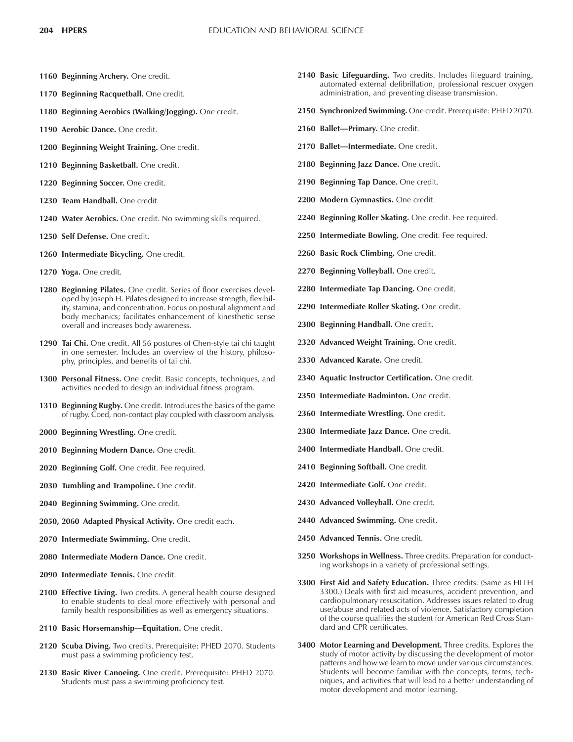- **1160 Beginning Archery.** One credit.
- **1170 Beginning Racquetball.** One credit.
- **1180 Beginning Aerobics (Walking/Jogging).** One credit.
- **1190 Aerobic Dance.** One credit.
- **1200 Beginning Weight Training.** One credit.
- **1210 Beginning Basketball.** One credit.
- **1220 Beginning Soccer.** One credit.
- **1230 Team Handball.** One credit.
- **1240 Water Aerobics.** One credit. No swimming skills required.
- **1250 Self Defense.** One credit.
- **1260 Intermediate Bicycling.** One credit.
- **1270 Yoga.** One credit.
- **1280 Beginning Pilates.** One credit. Series of floor exercises developed by Joseph H. Pilates designed to increase strength, flexibility, stamina, and concentration. Focus on postural alignment and body mechanics; facilitates enhancement of kinesthetic sense overall and increases body awareness.
- **1290 Tai Chi.** One credit. All 56 postures of Chen-style tai chi taught in one semester. Includes an overview of the history, philosophy, principles, and benefits of tai chi.
- **1300 Personal Fitness.** One credit. Basic concepts, techniques, and activities needed to design an individual fitness program.
- **1310 Beginning Rugby.** One credit. Introduces the basics of the game of rugby. Coed, non-contact play coupled with classroom analysis.
- **2000 Beginning Wrestling.** One credit.
- **2010 Beginning Modern Dance.** One credit.
- **2020 Beginning Golf.** One credit. Fee required.
- **2030 Tumbling and Trampoline.** One credit.
- **2040 Beginning Swimming.** One credit.
- **2050, 2060 Adapted Physical Activity.** One credit each.
- **2070 Intermediate Swimming.** One credit.
- **2080 Intermediate Modern Dance.** One credit.
- **2090 Intermediate Tennis.** One credit.
- **2100 Effective Living.** Two credits. A general health course designed to enable students to deal more effectively with personal and family health responsibilities as well as emergency situations.
- 2110 Basic Horsemanship-Equitation. One credit.
- **2120 Scuba Diving.** Two credits. Prerequisite: PHED 2070. Students must pass a swimming proficiency test.
- **2130 Basic River Canoeing.** One credit. Prerequisite: PHED 2070. Students must pass a swimming proficiency test.
- **2140 Basic Lifeguarding.** Two credits. Includes lifeguard training, automated external defibrillation, professional rescuer oxygen administration, and preventing disease transmission.
- **2150 Synchronized Swimming.** One credit. Prerequisite: PHED 2070.
- 2160 Ballet-Primary. One credit.
- 2170 Ballet-Intermediate. One credit.
- **2180 Beginning Jazz Dance.** One credit.
- **2190 Beginning Tap Dance.** One credit.
- **2200 Modern Gymnastics.** One credit.
- **2240 Beginning Roller Skating.** One credit. Fee required.
- **2250 Intermediate Bowling.** One credit. Fee required.
- **2260 Basic Rock Climbing.** One credit.
- **2270 Beginning Volleyball.** One credit.
- **2280 Intermediate Tap Dancing.** One credit.
- **2290 Intermediate Roller Skating.** One credit.
- **2300 Beginning Handball.** One credit.
- **2320 Advanced Weight Training.** One credit.
- **2330 Advanced Karate.** One credit.
- **2340 Aquatic Instructor Certification.** One credit.
- **2350 Intermediate Badminton.** One credit.
- **2360 Intermediate Wrestling.** One credit.
- **2380 Intermediate Jazz Dance.** One credit.
- **2400 Intermediate Handball.** One credit.
- **2410 Beginning Softball.** One credit.
- **2420 Intermediate Golf.** One credit.
- **2430 Advanced Volleyball.** One credit.
- **2440 Advanced Swimming.** One credit.
- **2450 Advanced Tennis.** One credit.
- **3250 Workshops in Wellness.** Three credits. Preparation for conducting workshops in a variety of professional settings.
- **3300 First Aid and Safety Education.** Three credits. (Same as HLTH 3300.) Deals with first aid measures, accident prevention, and cardiopulmonary resuscitation. Addresses issues related to drug use/abuse and related acts of violence. Satisfactory completion of the course qualifies the student for American Red Cross Standard and CPR certificates.
- **3400 Motor Learning and Development.** Three credits. Explores the study of motor activity by discussing the development of motor patterns and how we learn to move under various circumstances. Students will become familiar with the concepts, terms, techniques, and activities that will lead to a better understanding of motor development and motor learning.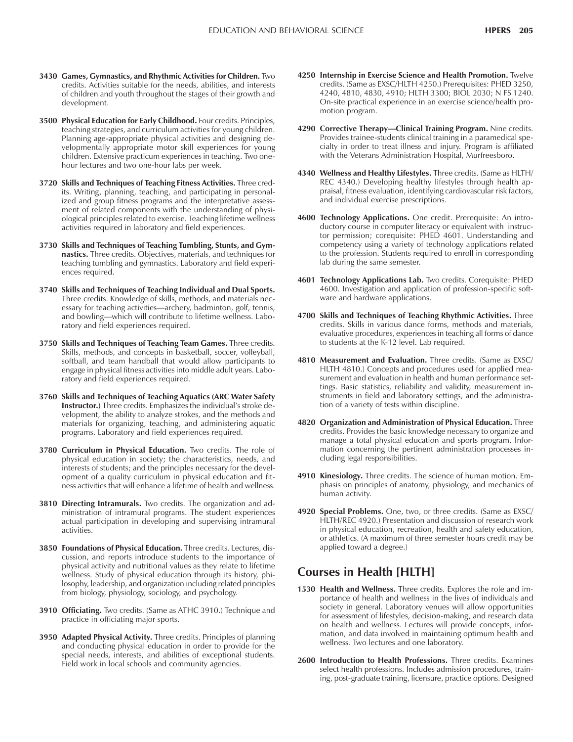- **3430 Games, Gymnastics, and Rhythmic Activities for Children.** Two credits. Activities suitable for the needs, abilities, and interests of children and youth throughout the stages of their growth and development.
- **3500 Physical Education for Early Childhood.** Four credits. Principles, teaching strategies, and curriculum activities for young children. Planning age-appropriate physical activities and designing developmentally appropriate motor skill experiences for young children. Extensive practicum experiences in teaching. Two onehour lectures and two one-hour labs per week.
- **3720 Skills and Techniques of Teaching Fitness Activities.** Three credits. Writing, planning, teaching, and participating in personalized and group fitness programs and the interpretative assessment of related components with the understanding of physiological principles related to exercise. Teaching lifetime wellness activities required in laboratory and field experiences.
- **3730 Skills and Techniques of Teaching Tumbling, Stunts, and Gymnastics.** Three credits. Objectives, materials, and techniques for teaching tumbling and gymnastics. Laboratory and field experiences required.
- **3740 Skills and Techniques of Teaching Individual and Dual Sports.** Three credits. Knowledge of skills, methods, and materials necessary for teaching activities—archery, badminton, golf, tennis, and bowling—which will contribute to lifetime wellness. Laboratory and field experiences required.
- **3750 Skills and Techniques of Teaching Team Games.** Three credits. Skills, methods, and concepts in basketball, soccer, volleyball, softball, and team handball that would allow participants to engage in physical fitness activities into middle adult years. Laboratory and field experiences required.
- **3760 Skills and Techniques of Teaching Aquatics (ARC Water Safety Instructor.)** Three credits. Emphasizes the individual's stroke development, the ability to analyze strokes, and the methods and materials for organizing, teaching, and administering aquatic programs. Laboratory and field experiences required.
- **3780 Curriculum in Physical Education.** Two credits. The role of physical education in society; the characteristics, needs, and interests of students; and the principles necessary for the development of a quality curriculum in physical education and fitness activities that will enhance a lifetime of health and wellness.
- **3810 Directing Intramurals.** Two credits. The organization and administration of intramural programs. The student experiences actual participation in developing and supervising intramural activities.
- **3850 Foundations of Physical Education.** Three credits. Lectures, discussion, and reports introduce students to the importance of physical activity and nutritional values as they relate to lifetime wellness. Study of physical education through its history, philosophy, leadership, and organization including related principles from biology, physiology, sociology, and psychology.
- **3910 Officiating.** Two credits. (Same as ATHC 3910.) Technique and practice in officiating major sports.
- **3950 Adapted Physical Activity.** Three credits. Principles of planning and conducting physical education in order to provide for the special needs, interests, and abilities of exceptional students. Field work in local schools and community agencies.
- **4250 Internship in Exercise Science and Health Promotion.** Twelve credits. (Same as EXSC/HLTH 4250.) Prerequisites: PHED 3250, 4240, 4810, 4830, 4910; HLTH 3300; BIOL 2030; N FS 1240. On-site practical experience in an exercise science/health promotion program.
- 4290 Corrective Therapy-Clinical Training Program. Nine credits. Provides trainee-students clinical training in a paramedical specialty in order to treat illness and injury. Program is affiliated with the Veterans Administration Hospital, Murfreesboro.
- **4340 Wellness and Healthy Lifestyles.** Three credits. (Same as HLTH/ REC 4340.) Developing healthy lifestyles through health appraisal, fitness evaluation, identifying cardiovascular risk factors, and individual exercise prescriptions.
- **4600 Technology Applications.** One credit. Prerequisite: An introductory course in computer literacy or equivalent with instructor permission; corequisite: PHED 4601. Understanding and competency using a variety of technology applications related to the profession. Students required to enroll in corresponding lab during the same semester.
- **4601 Technology Applications Lab.** Two credits. Corequisite: PHED 4600. Investigation and application of profession-specific software and hardware applications.
- **4700 Skills and Techniques of Teaching Rhythmic Activities.** Three credits. Skills in various dance forms, methods and materials, evaluative procedures, experiences in teaching all forms of dance to students at the K-12 level. Lab required.
- **4810 Measurement and Evaluation.** Three credits. (Same as EXSC/ HLTH 4810.) Concepts and procedures used for applied measurement and evaluation in health and human performance settings. Basic statistics, reliability and validity, measurement instruments in field and laboratory settings, and the administration of a variety of tests within discipline.
- **4820 Organization and Administration of Physical Education.** Three credits. Provides the basic knowledge necessary to organize and manage a total physical education and sports program. Information concerning the pertinent administration processes including legal responsibilities.
- **4910 Kinesiology.** Three credits. The science of human motion. Emphasis on principles of anatomy, physiology, and mechanics of human activity.
- **4920 Special Problems.** One, two, or three credits. (Same as EXSC/ HLTH/REC 4920.) Presentation and discussion of research work in physical education, recreation, health and safety education, or athletics. (A maximum of three semester hours credit may be applied toward a degree.)

### **Courses in Health [HLTH]**

- **1530 Health and Wellness.** Three credits. Explores the role and importance of health and wellness in the lives of individuals and society in general. Laboratory venues will allow opportunities for assessment of lifestyles, decision-making, and research data on health and wellness. Lectures will provide concepts, information, and data involved in maintaining optimum health and wellness. Two lectures and one laboratory.
- **2600 Introduction to Health Professions.** Three credits. Examines select health professions. Includes admission procedures, training, post-graduate training, licensure, practice options. Designed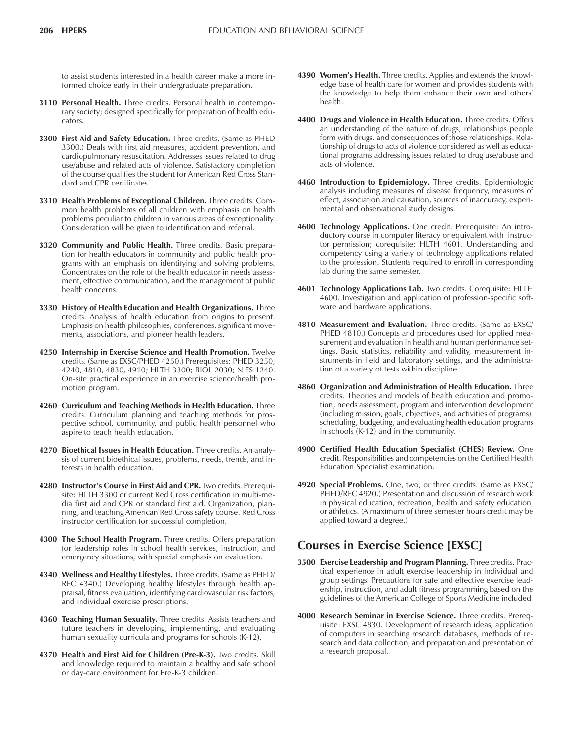to assist students interested in a health career make a more informed choice early in their undergraduate preparation.

- **3110 Personal Health.** Three credits. Personal health in contemporary society; designed specifically for preparation of health educators.
- **3300 First Aid and Safety Education.** Three credits. (Same as PHED 3300.) Deals with first aid measures, accident prevention, and cardiopulmonary resuscitation. Addresses issues related to drug use/abuse and related acts of violence. Satisfactory completion of the course qualifies the student for American Red Cross Standard and CPR certificates.
- **3310 Health Problems of Exceptional Children.** Three credits. Common health problems of all children with emphasis on health problems peculiar to children in various areas of exceptionality. Consideration will be given to identification and referral.
- **3320 Community and Public Health.** Three credits. Basic preparation for health educators in community and public health programs with an emphasis on identifying and solving problems. Concentrates on the role of the health educator in needs assessment, effective communication, and the management of public health concerns.
- **3330 History of Health Education and Health Organizations.** Three credits. Analysis of health education from origins to present. Emphasis on health philosophies, conferences, significant movements, associations, and pioneer health leaders.
- **4250 Internship in Exercise Science and Health Promotion.** Twelve credits. (Same as EXSC/PHED 4250.) Prerequisites: PHED 3250, 4240, 4810, 4830, 4910; HLTH 3300; BIOL 2030; N FS 1240. On-site practical experience in an exercise science/health promotion program.
- **4260 Curriculum and Teaching Methods in Health Education.** Three credits. Curriculum planning and teaching methods for prospective school, community, and public health personnel who aspire to teach health education.
- **4270 Bioethical Issues in Health Education.** Three credits. An analysis of current bioethical issues, problems, needs, trends, and interests in health education.
- **4280 Instructorís Course in First Aid and CPR.** Two credits. Prerequisite: HLTH 3300 or current Red Cross certification in multi-media first aid and CPR or standard first aid. Organization, planning, and teaching American Red Cross safety course. Red Cross instructor certification for successful completion.
- **4300 The School Health Program.** Three credits. Offers preparation for leadership roles in school health services, instruction, and emergency situations, with special emphasis on evaluation.
- **4340 Wellness and Healthy Lifestyles.** Three credits. (Same as PHED/ REC 4340.) Developing healthy lifestyles through health appraisal, fitness evaluation, identifying cardiovascular risk factors, and individual exercise prescriptions.
- **4360 Teaching Human Sexuality.** Three credits. Assists teachers and future teachers in developing, implementing, and evaluating human sexuality curricula and programs for schools (K-12).
- **4370 Health and First Aid for Children (Pre-K-3).** Two credits. Skill and knowledge required to maintain a healthy and safe school or day-care environment for Pre-K-3 children.
- 4390 Women's Health. Three credits. Applies and extends the knowledge base of health care for women and provides students with the knowledge to help them enhance their own and others' health.
- **4400 Drugs and Violence in Health Education.** Three credits. Offers an understanding of the nature of drugs, relationships people form with drugs, and consequences of those relationships. Relationship of drugs to acts of violence considered as well as educational programs addressing issues related to drug use/abuse and acts of violence.
- **4460 Introduction to Epidemiology.** Three credits. Epidemiologic analysis including measures of disease frequency, measures of effect, association and causation, sources of inaccuracy, experimental and observational study designs.
- **4600 Technology Applications.** One credit. Prerequisite: An introductory course in computer literacy or equivalent with instructor permission; corequisite: HLTH 4601. Understanding and competency using a variety of technology applications related to the profession. Students required to enroll in corresponding lab during the same semester.
- **4601 Technology Applications Lab.** Two credits. Corequisite: HLTH 4600. Investigation and application of profession-specific software and hardware applications.
- **4810 Measurement and Evaluation.** Three credits. (Same as EXSC/ PHED 4810.) Concepts and procedures used for applied measurement and evaluation in health and human performance settings. Basic statistics, reliability and validity, measurement instruments in field and laboratory settings, and the administration of a variety of tests within discipline.
- **4860 Organization and Administration of Health Education.** Three credits. Theories and models of health education and promotion, needs assessment, program and intervention development (including mission, goals, objectives, and activities of programs), scheduling, budgeting, and evaluating health education programs in schools (K-12) and in the community.
- **4900 Certified Health Education Specialist (CHES) Review.** One credit. Responsibilities and competencies on the Certified Health Education Specialist examination.
- **4920 Special Problems.** One, two, or three credits. (Same as EXSC/ PHED/REC 4920.) Presentation and discussion of research work in physical education, recreation, health and safety education, or athletics. (A maximum of three semester hours credit may be applied toward a degree.)

## **Courses in Exercise Science [EXSC]**

- **3500 Exercise Leadership and Program Planning.** Three credits. Practical experience in adult exercise leadership in individual and group settings. Precautions for safe and effective exercise leadership, instruction, and adult fitness programming based on the guidelines of the American College of Sports Medicine included.
- **4000 Research Seminar in Exercise Science.** Three credits. Prerequisite: EXSC 4830. Development of research ideas, application of computers in searching research databases, methods of research and data collection, and preparation and presentation of a research proposal.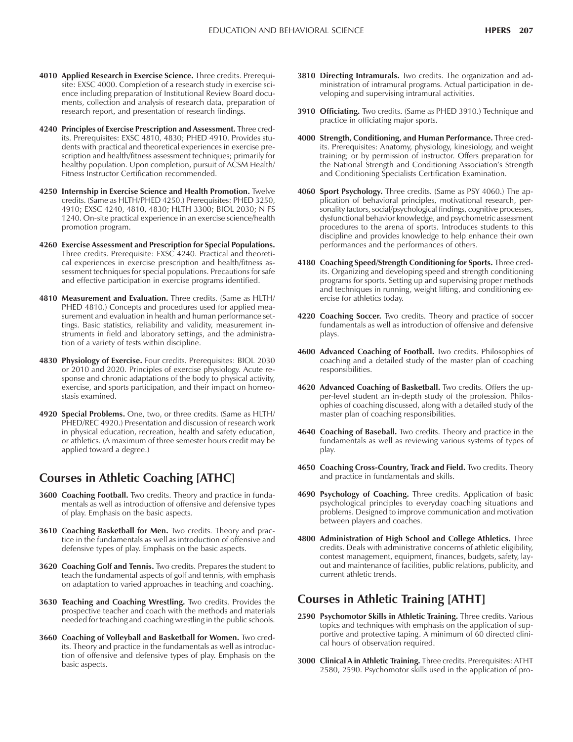- **4010 Applied Research in Exercise Science.** Three credits. Prerequisite: EXSC 4000. Completion of a research study in exercise science including preparation of Institutional Review Board documents, collection and analysis of research data, preparation of research report, and presentation of research findings.
- **4240 Principles of Exercise Prescription and Assessment.** Three credits. Prerequisites: EXSC 4810, 4830; PHED 4910. Provides students with practical and theoretical experiences in exercise prescription and health/fitness assessment techniques; primarily for healthy population. Upon completion, pursuit of ACSM Health/ Fitness Instructor Certification recommended.
- **4250 Internship in Exercise Science and Health Promotion.** Twelve credits. (Same as HLTH/PHED 4250.) Prerequisites: PHED 3250, 4910; EXSC 4240, 4810, 4830; HLTH 3300; BIOL 2030; N FS 1240. On-site practical experience in an exercise science/health promotion program.
- **4260 Exercise Assessment and Prescription for Special Populations.** Three credits. Prerequisite: EXSC 4240. Practical and theoretical experiences in exercise prescription and health/fitness assessment techniques for special populations. Precautions for safe and effective participation in exercise programs identified.
- **4810 Measurement and Evaluation.** Three credits. (Same as HLTH/ PHED 4810.) Concepts and procedures used for applied measurement and evaluation in health and human performance settings. Basic statistics, reliability and validity, measurement instruments in field and laboratory settings, and the administration of a variety of tests within discipline.
- **4830 Physiology of Exercise.** Four credits. Prerequisites: BIOL 2030 or 2010 and 2020. Principles of exercise physiology. Acute response and chronic adaptations of the body to physical activity, exercise, and sports participation, and their impact on homeostasis examined.
- **4920 Special Problems.** One, two, or three credits. (Same as HLTH/ PHED/REC 4920.) Presentation and discussion of research work in physical education, recreation, health and safety education, or athletics. (A maximum of three semester hours credit may be applied toward a degree.)

### **Courses in Athletic Coaching [ATHC]**

- **3600 Coaching Football.** Two credits. Theory and practice in fundamentals as well as introduction of offensive and defensive types of play. Emphasis on the basic aspects.
- **3610 Coaching Basketball for Men.** Two credits. Theory and practice in the fundamentals as well as introduction of offensive and defensive types of play. Emphasis on the basic aspects.
- **3620 Coaching Golf and Tennis.** Two credits. Prepares the student to teach the fundamental aspects of golf and tennis, with emphasis on adaptation to varied approaches in teaching and coaching.
- **3630 Teaching and Coaching Wrestling.** Two credits. Provides the prospective teacher and coach with the methods and materials needed for teaching and coaching wrestling in the public schools.
- **3660 Coaching of Volleyball and Basketball for Women.** Two credits. Theory and practice in the fundamentals as well as introduction of offensive and defensive types of play. Emphasis on the basic aspects.
- **3810 Directing Intramurals.** Two credits. The organization and administration of intramural programs. Actual participation in developing and supervising intramural activities.
- **3910 Officiating.** Two credits. (Same as PHED 3910.) Technique and practice in officiating major sports.
- **4000 Strength, Conditioning, and Human Performance.** Three credits. Prerequisites: Anatomy, physiology, kinesiology, and weight training; or by permission of instructor. Offers preparation for the National Strength and Conditioning Association's Strength and Conditioning Specialists Certification Examination.
- **4060 Sport Psychology.** Three credits. (Same as PSY 4060.) The application of behavioral principles, motivational research, personality factors, social/psychological findings, cognitive processes, dysfunctional behavior knowledge, and psychometric assessment procedures to the arena of sports. Introduces students to this discipline and provides knowledge to help enhance their own performances and the performances of others.
- **4180 Coaching Speed/Strength Conditioning for Sports.** Three credits. Organizing and developing speed and strength conditioning programs for sports. Setting up and supervising proper methods and techniques in running, weight lifting, and conditioning exercise for athletics today.
- **4220 Coaching Soccer.** Two credits. Theory and practice of soccer fundamentals as well as introduction of offensive and defensive plays.
- **4600 Advanced Coaching of Football.** Two credits. Philosophies of coaching and a detailed study of the master plan of coaching responsibilities.
- **4620 Advanced Coaching of Basketball.** Two credits. Offers the upper-level student an in-depth study of the profession. Philosophies of coaching discussed, along with a detailed study of the master plan of coaching responsibilities.
- **4640 Coaching of Baseball.** Two credits. Theory and practice in the fundamentals as well as reviewing various systems of types of play.
- **4650 Coaching Cross-Country, Track and Field.** Two credits. Theory and practice in fundamentals and skills.
- **4690 Psychology of Coaching.** Three credits. Application of basic psychological principles to everyday coaching situations and problems. Designed to improve communication and motivation between players and coaches.
- **4800 Administration of High School and College Athletics.** Three credits. Deals with administrative concerns of athletic eligibility, contest management, equipment, finances, budgets, safety, layout and maintenance of facilities, public relations, publicity, and current athletic trends.

## **Courses in Athletic Training [ATHT]**

- **2590 Psychomotor Skills in Athletic Training.** Three credits. Various topics and techniques with emphasis on the application of supportive and protective taping. A minimum of 60 directed clinical hours of observation required.
- **3000 Clinical A in Athletic Training.** Three credits. Prerequisites: ATHT 2580, 2590. Psychomotor skills used in the application of pro-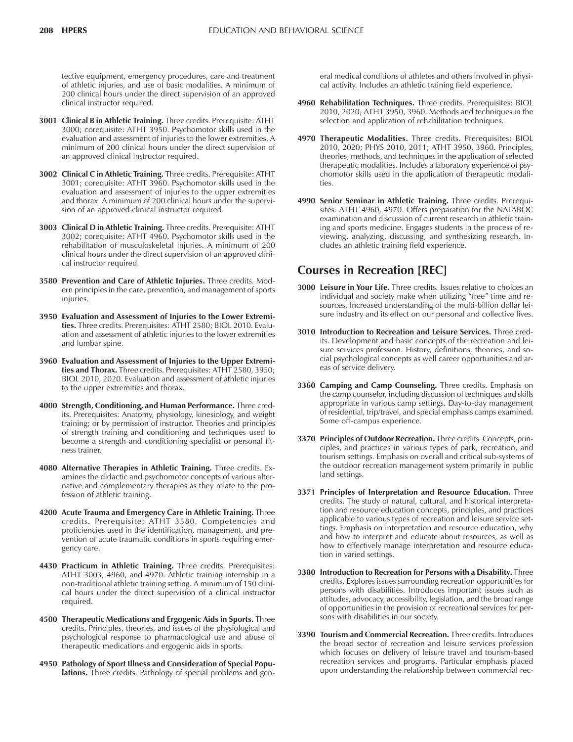tective equipment, emergency procedures, care and treatment of athletic injuries, and use of basic modalities. A minimum of 200 clinical hours under the direct supervision of an approved clinical instructor required.

- **3001 Clinical B in Athletic Training.** Three credits. Prerequisite: ATHT 3000; corequisite: ATHT 3950. Psychomotor skills used in the evaluation and assessment of injuries to the lower extremities. A minimum of 200 clinical hours under the direct supervision of an approved clinical instructor required.
- **3002 Clinical C in Athletic Training.** Three credits. Prerequisite: ATHT 3001; corequisite: ATHT 3960. Psychomotor skills used in the evaluation and assessment of injuries to the upper extremities and thorax. A minimum of 200 clinical hours under the supervision of an approved clinical instructor required.
- **3003 Clinical D in Athletic Training.** Three credits. Prerequisite: ATHT 3002; corequisite: ATHT 4960. Psychomotor skills used in the rehabilitation of musculoskeletal injuries. A minimum of 200 clinical hours under the direct supervision of an approved clinical instructor required.
- **3580 Prevention and Care of Athletic Injuries.** Three credits. Modern principles in the care, prevention, and management of sports injuries.
- **3950 Evaluation and Assessment of Injuries to the Lower Extremities.** Three credits. Prerequisites: ATHT 2580; BIOL 2010. Evaluation and assessment of athletic injuries to the lower extremities and lumbar spine.
- **3960 Evaluation and Assessment of Injuries to the Upper Extremities and Thorax.** Three credits. Prerequisites: ATHT 2580, 3950; BIOL 2010, 2020. Evaluation and assessment of athletic injuries to the upper extremities and thorax.
- **4000 Strength, Conditioning, and Human Performance.** Three credits. Prerequisites: Anatomy, physiology, kinesiology, and weight training; or by permission of instructor. Theories and principles of strength training and conditioning and techniques used to become a strength and conditioning specialist or personal fitness trainer.
- **4080 Alternative Therapies in Athletic Training.** Three credits. Examines the didactic and psychomotor concepts of various alternative and complementary therapies as they relate to the profession of athletic training.
- **4200 Acute Trauma and Emergency Care in Athletic Training.** Three credits. Prerequisite: ATHT 3580. Competencies and proficiencies used in the identification, management, and prevention of acute traumatic conditions in sports requiring emergency care.
- **4430 Practicum in Athletic Training.** Three credits. Prerequisites: ATHT 3003, 4960, and 4970. Athletic training internship in a non-traditional athletic training setting. A minimum of 150 clinical hours under the direct supervision of a clinical instructor required.
- **4500 Therapeutic Medications and Ergogenic Aids in Sports.** Three credits. Principles, theories, and issues of the physiological and psychological response to pharmacological use and abuse of therapeutic medications and ergogenic aids in sports.
- **4950 Pathology of Sport Illness and Consideration of Special Populations.** Three credits. Pathology of special problems and gen-

eral medical conditions of athletes and others involved in physical activity. Includes an athletic training field experience.

- **4960 Rehabilitation Techniques.** Three credits. Prerequisites: BIOL 2010, 2020; ATHT 3950, 3960. Methods and techniques in the selection and application of rehabilitation techniques.
- **4970 Therapeutic Modalities.** Three credits. Prerequisites: BIOL 2010, 2020; PHYS 2010, 2011; ATHT 3950, 3960. Principles, theories, methods, and techniques in the application of selected therapeutic modalities. Includes a laboratory experience of psychomotor skills used in the application of therapeutic modalities.
- **4990 Senior Seminar in Athletic Training.** Three credits. Prerequisites: ATHT 4960, 4970. Offers preparation for the NATABOC examination and discussion of current research in athletic training and sports medicine. Engages students in the process of reviewing, analyzing, discussing, and synthesizing research. Includes an athletic training field experience.

## **Courses in Recreation [REC]**

- **3000 Leisure in Your Life.** Three credits. Issues relative to choices an individual and society make when utilizing "free" time and resources. Increased understanding of the multi-billion dollar leisure industry and its effect on our personal and collective lives.
- **3010 Introduction to Recreation and Leisure Services.** Three credits. Development and basic concepts of the recreation and leisure services profession. History, definitions, theories, and social psychological concepts as well career opportunities and areas of service delivery.
- **3360 Camping and Camp Counseling.** Three credits. Emphasis on the camp counselor, including discussion of techniques and skills appropriate in various camp settings. Day-to-day management of residential, trip/travel, and special emphasis camps examined. Some off-campus experience.
- **3370 Principles of Outdoor Recreation.** Three credits. Concepts, principles, and practices in various types of park, recreation, and tourism settings. Emphasis on overall and critical sub-systems of the outdoor recreation management system primarily in public land settings.
- **3371 Principles of Interpretation and Resource Education.** Three credits. The study of natural, cultural, and historical interpretation and resource education concepts, principles, and practices applicable to various types of recreation and leisure service settings. Emphasis on interpretation and resource education, why and how to interpret and educate about resources, as well as how to effectively manage interpretation and resource education in varied settings.
- **3380 Introduction to Recreation for Persons with a Disability.** Three credits. Explores issues surrounding recreation opportunities for persons with disabilities. Introduces important issues such as attitudes, advocacy, accessibility, legislation, and the broad range of opportunities in the provision of recreational services for persons with disabilities in our society.
- **3390 Tourism and Commercial Recreation.** Three credits. Introduces the broad sector of recreation and leisure services profession which focuses on delivery of leisure travel and tourism-based recreation services and programs. Particular emphasis placed upon understanding the relationship between commercial rec-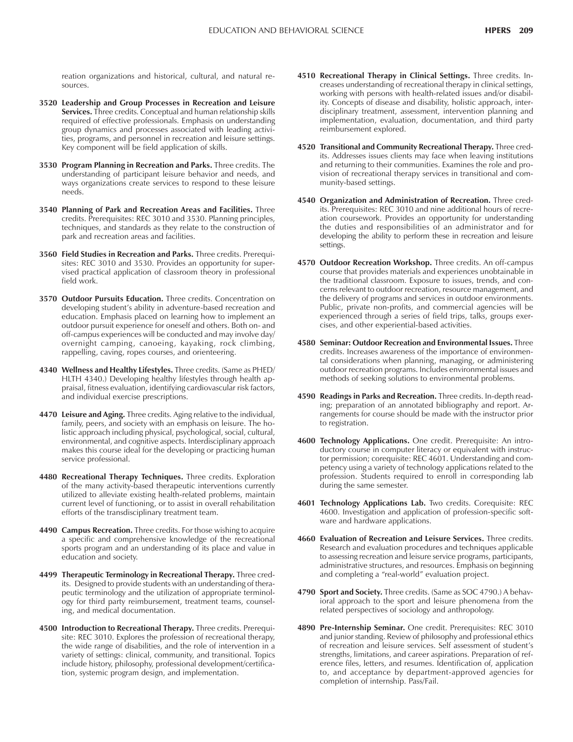reation organizations and historical, cultural, and natural resources.

- **3520 Leadership and Group Processes in Recreation and Leisure Services.** Three credits. Conceptual and human relationship skills required of effective professionals. Emphasis on understanding group dynamics and processes associated with leading activities, programs, and personnel in recreation and leisure settings. Key component will be field application of skills.
- **3530 Program Planning in Recreation and Parks.** Three credits. The understanding of participant leisure behavior and needs, and ways organizations create services to respond to these leisure needs.
- **3540 Planning of Park and Recreation Areas and Facilities.** Three credits. Prerequisites: REC 3010 and 3530. Planning principles, techniques, and standards as they relate to the construction of park and recreation areas and facilities.
- **3560 Field Studies in Recreation and Parks.** Three credits. Prerequisites: REC 3010 and 3530. Provides an opportunity for supervised practical application of classroom theory in professional field work.
- **3570 Outdoor Pursuits Education.** Three credits. Concentration on developing student's ability in adventure-based recreation and education. Emphasis placed on learning how to implement an outdoor pursuit experience for oneself and others. Both on- and off-campus experiences will be conducted and may involve day/ overnight camping, canoeing, kayaking, rock climbing, rappelling, caving, ropes courses, and orienteering.
- **4340 Wellness and Healthy Lifestyles.** Three credits. (Same as PHED/ HLTH 4340.) Developing healthy lifestyles through health appraisal, fitness evaluation, identifying cardiovascular risk factors, and individual exercise prescriptions.
- **4470 Leisure and Aging.** Three credits. Aging relative to the individual, family, peers, and society with an emphasis on leisure. The holistic approach including physical, psychological, social, cultural, environmental, and cognitive aspects. Interdisciplinary approach makes this course ideal for the developing or practicing human service professional.
- **4480 Recreational Therapy Techniques.** Three credits. Exploration of the many activity-based therapeutic interventions currently utilized to alleviate existing health-related problems, maintain current level of functioning, or to assist in overall rehabilitation efforts of the transdisciplinary treatment team.
- **4490 Campus Recreation.** Three credits. For those wishing to acquire a specific and comprehensive knowledge of the recreational sports program and an understanding of its place and value in education and society.
- **4499 Therapeutic Terminology in Recreational Therapy.** Three credits. Designed to provide students with an understanding of therapeutic terminology and the utilization of appropriate terminology for third party reimbursement, treatment teams, counseling, and medical documentation.
- **4500 Introduction to Recreational Therapy.** Three credits. Prerequisite: REC 3010. Explores the profession of recreational therapy, the wide range of disabilities, and the role of intervention in a variety of settings: clinical, community, and transitional. Topics include history, philosophy, professional development/certification, systemic program design, and implementation.
- **4510 Recreational Therapy in Clinical Settings.** Three credits. Increases understanding of recreational therapy in clinical settings, working with persons with health-related issues and/or disability. Concepts of disease and disability, holistic approach, interdisciplinary treatment, assessment, intervention planning and implementation, evaluation, documentation, and third party reimbursement explored.
- **4520 Transitional and Community Recreational Therapy.** Three credits. Addresses issues clients may face when leaving institutions and returning to their communities. Examines the role and provision of recreational therapy services in transitional and community-based settings.
- **4540 Organization and Administration of Recreation.** Three credits. Prerequisites: REC 3010 and nine additional hours of recreation coursework. Provides an opportunity for understanding the duties and responsibilities of an administrator and for developing the ability to perform these in recreation and leisure settings.
- **4570 Outdoor Recreation Workshop.** Three credits. An off-campus course that provides materials and experiences unobtainable in the traditional classroom. Exposure to issues, trends, and concerns relevant to outdoor recreation, resource management, and the delivery of programs and services in outdoor environments. Public, private non-profits, and commercial agencies will be experienced through a series of field trips, talks, groups exercises, and other experiential-based activities.
- **4580 Seminar: Outdoor Recreation and Environmental Issues.** Three credits. Increases awareness of the importance of environmental considerations when planning, managing, or administering outdoor recreation programs. Includes environmental issues and methods of seeking solutions to environmental problems.
- **4590 Readings in Parks and Recreation.** Three credits. In-depth reading; preparation of an annotated bibliography and report. Arrangements for course should be made with the instructor prior to registration.
- **4600 Technology Applications.** One credit. Prerequisite: An introductory course in computer literacy or equivalent with instructor permission; corequisite: REC 4601. Understanding and competency using a variety of technology applications related to the profession. Students required to enroll in corresponding lab during the same semester.
- **4601 Technology Applications Lab.** Two credits. Corequisite: REC 4600. Investigation and application of profession-specific software and hardware applications.
- **4660 Evaluation of Recreation and Leisure Services.** Three credits. Research and evaluation procedures and techniques applicable to assessing recreation and leisure service programs, participants, administrative structures, and resources. Emphasis on beginning and completing a "real-world" evaluation project.
- **4790 Sport and Society.** Three credits. (Same as SOC 4790.) A behavioral approach to the sport and leisure phenomena from the related perspectives of sociology and anthropology.
- **4890 Pre-Internship Seminar.** One credit. Prerequisites: REC 3010 and junior standing. Review of philosophy and professional ethics of recreation and leisure services. Self assessment of student's strengths, limitations, and career aspirations. Preparation of reference files, letters, and resumes. Identification of, application to, and acceptance by department-approved agencies for completion of internship. Pass/Fail.